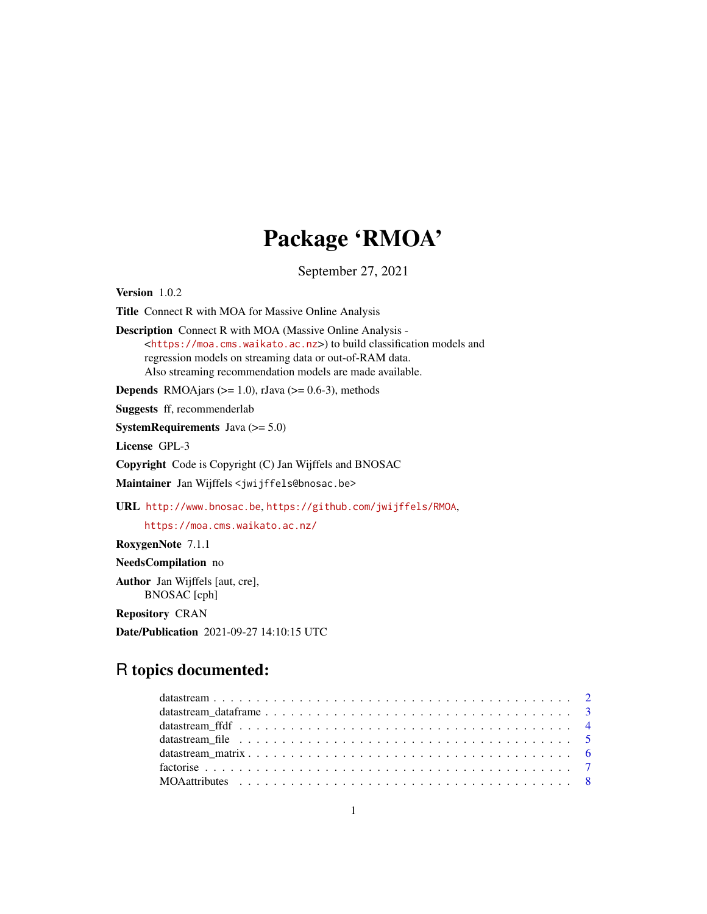# Package 'RMOA'

September 27, 2021

<span id="page-0-0"></span>Version 1.0.2 Title Connect R with MOA for Massive Online Analysis Description Connect R with MOA (Massive Online Analysis - <<https://moa.cms.waikato.ac.nz>>) to build classification models and regression models on streaming data or out-of-RAM data. Also streaming recommendation models are made available. **Depends** RMOAjars ( $>= 1.0$ ), rJava ( $>= 0.6-3$ ), methods Suggests ff, recommenderlab **SystemRequirements** Java  $(>= 5.0)$ License GPL-3 Copyright Code is Copyright (C) Jan Wijffels and BNOSAC Maintainer Jan Wijffels <jwijffels@bnosac.be> URL <http://www.bnosac.be>, <https://github.com/jwijffels/RMOA>, <https://moa.cms.waikato.ac.nz/> RoxygenNote 7.1.1 NeedsCompilation no Author Jan Wijffels [aut, cre], BNOSAC [cph]

Repository CRAN

Date/Publication 2021-09-27 14:10:15 UTC

# R topics documented:

| datastream file $\ldots \ldots \ldots \ldots \ldots \ldots \ldots \ldots \ldots \ldots \ldots \ldots \ldots$ |  |
|--------------------------------------------------------------------------------------------------------------|--|
|                                                                                                              |  |
|                                                                                                              |  |
|                                                                                                              |  |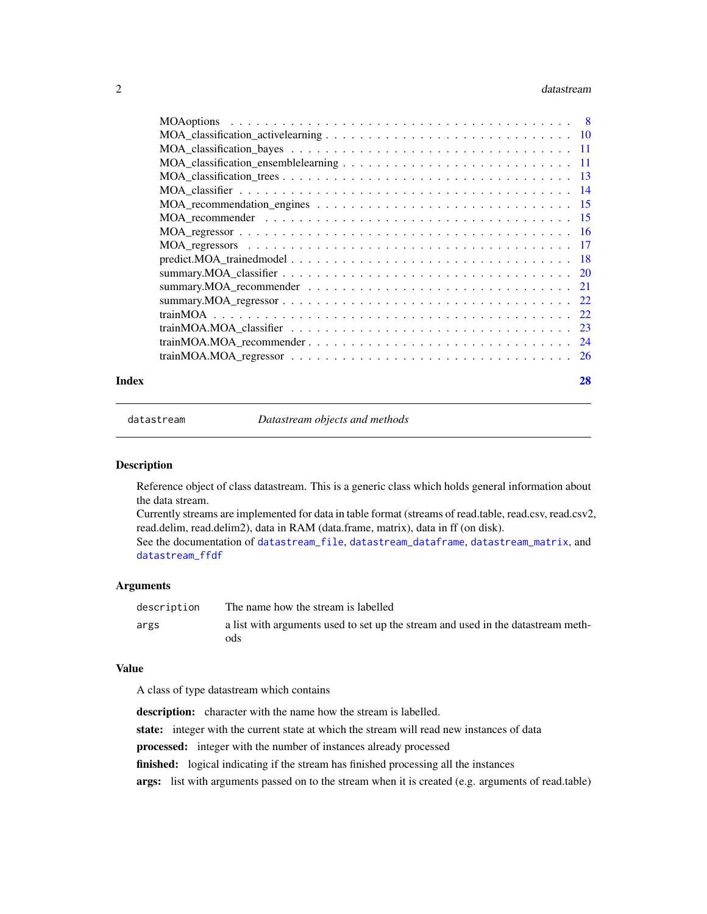#### <span id="page-1-0"></span> $2 \times 2$

| Index | 28 |
|-------|----|

<span id="page-1-1"></span>

datastream *Datastream objects and methods*

#### Description

Reference object of class datastream. This is a generic class which holds general information about the data stream.

Currently streams are implemented for data in table format (streams of read.table, read.csv, read.csv2, read.delim, read.delim2), data in RAM (data.frame, matrix), data in ff (on disk).

See the documentation of [datastream\\_file](#page-4-1), [datastream\\_dataframe](#page-2-1), [datastream\\_matrix](#page-5-1), and [datastream\\_ffdf](#page-3-1)

#### Arguments

| description | The name how the stream is labelled                                              |
|-------------|----------------------------------------------------------------------------------|
| args        | a list with arguments used to set up the stream and used in the datastream meth- |
|             | ods                                                                              |

#### Value

A class of type datastream which contains

description: character with the name how the stream is labelled. state: integer with the current state at which the stream will read new instances of data processed: integer with the number of instances already processed finished: logical indicating if the stream has finished processing all the instances args: list with arguments passed on to the stream when it is created (e.g. arguments of read.table)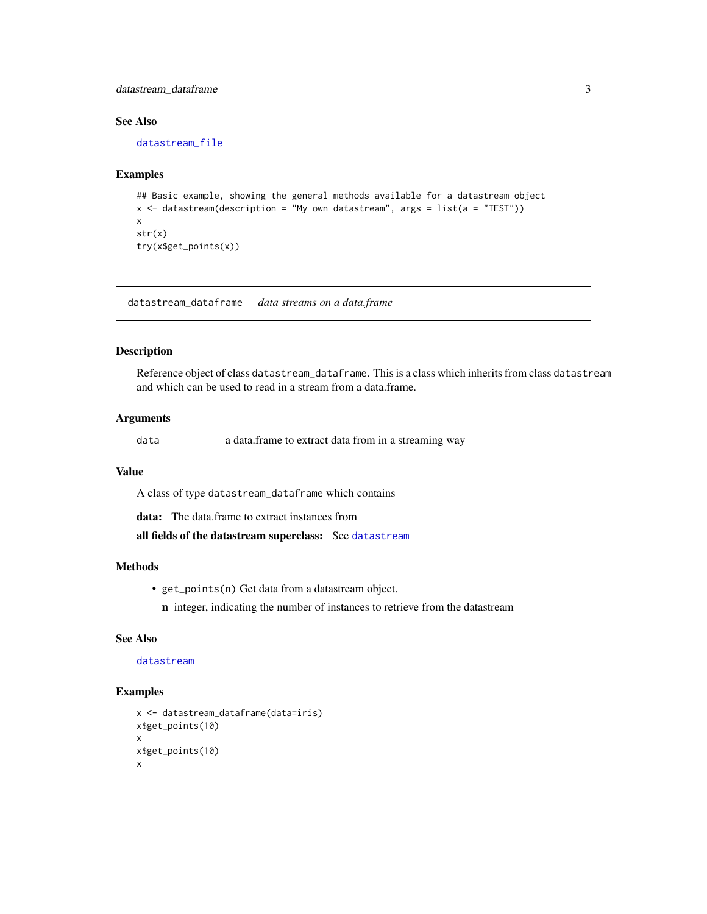# <span id="page-2-0"></span>datastream\_dataframe 3

# See Also

[datastream\\_file](#page-4-1)

# Examples

```
## Basic example, showing the general methods available for a datastream object
x <- datastream(description = "My own datastream", args = list(a = "TEST"))
x
str(x)
try(x$get_points(x))
```
<span id="page-2-1"></span>datastream\_dataframe *data streams on a data.frame*

# Description

Reference object of class datastream\_dataframe. This is a class which inherits from class datastream and which can be used to read in a stream from a data.frame.

# Arguments

data a data.frame to extract data from in a streaming way

#### Value

A class of type datastream\_dataframe which contains

data: The data.frame to extract instances from

all fields of the datastream superclass: See [datastream](#page-1-1)

#### Methods

- get\_points(n) Get data from a datastream object.
- n integer, indicating the number of instances to retrieve from the datastream

# See Also

## [datastream](#page-1-1)

```
x <- datastream_dataframe(data=iris)
x$get_points(10)
x
x$get_points(10)
x
```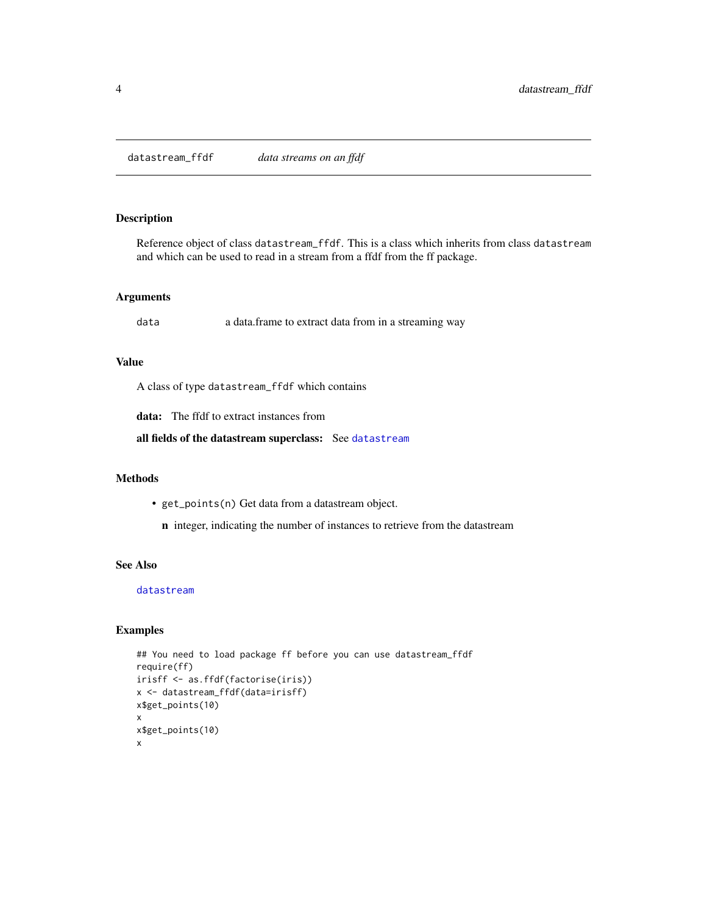<span id="page-3-1"></span><span id="page-3-0"></span>datastream\_ffdf *data streams on an ffdf*

#### Description

Reference object of class datastream\_ffdf. This is a class which inherits from class datastream and which can be used to read in a stream from a ffdf from the ff package.

#### Arguments

data a data.frame to extract data from in a streaming way

# Value

A class of type datastream\_ffdf which contains

data: The ffdf to extract instances from

all fields of the datastream superclass: See [datastream](#page-1-1)

#### Methods

• get\_points(n) Get data from a datastream object.

n integer, indicating the number of instances to retrieve from the datastream

# See Also

#### [datastream](#page-1-1)

```
## You need to load package ff before you can use datastream_ffdf
require(ff)
irisff <- as.ffdf(factorise(iris))
x <- datastream_ffdf(data=irisff)
x$get_points(10)
x
x$get_points(10)
x
```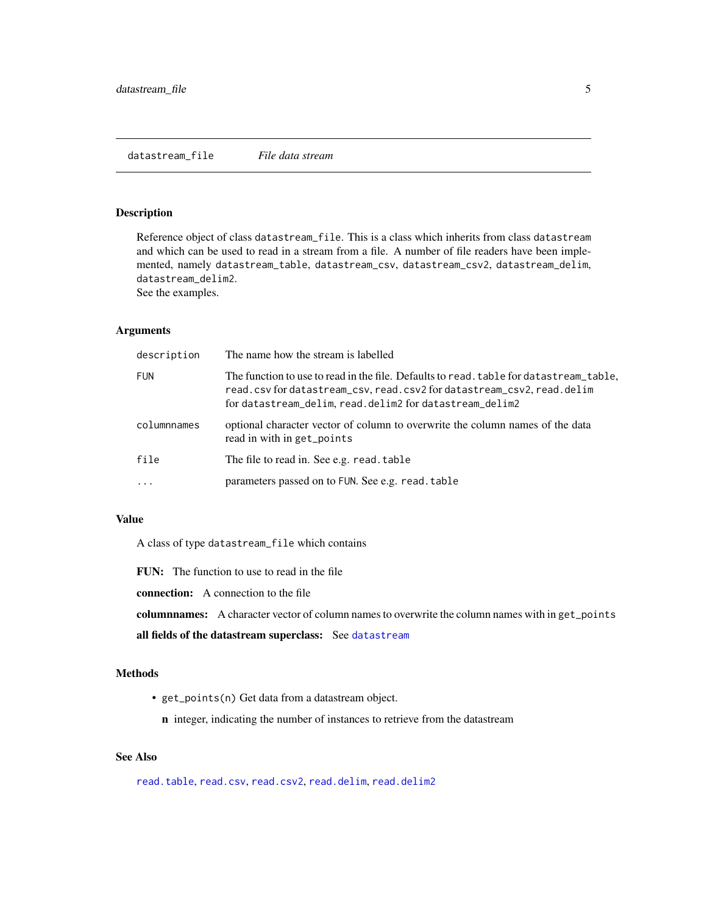<span id="page-4-1"></span><span id="page-4-0"></span>datastream\_file *File data stream*

# Description

Reference object of class datastream\_file. This is a class which inherits from class datastream and which can be used to read in a stream from a file. A number of file readers have been implemented, namely datastream\_table, datastream\_csv, datastream\_csv2, datastream\_delim, datastream\_delim2. See the examples.

# Arguments

| description | The name how the stream is labelled                                                                                                                                                                                         |
|-------------|-----------------------------------------------------------------------------------------------------------------------------------------------------------------------------------------------------------------------------|
| <b>FUN</b>  | The function to use to read in the file. Defaults to read, table for datastream_table,<br>read.csv for datastream_csv, read.csv2 for datastream_csv2, read.delim<br>for datastream_delim, read.delim2 for datastream_delim2 |
| columnnames | optional character vector of column to overwrite the column names of the data<br>read in with in get_points                                                                                                                 |
| file        | The file to read in. See e.g. read. table                                                                                                                                                                                   |
| .           | parameters passed on to FUN. See e.g. read. table                                                                                                                                                                           |

# Value

A class of type datastream\_file which contains

FUN: The function to use to read in the file

connection: A connection to the file

columnnames: A character vector of column names to overwrite the column names with in get\_points

all fields of the datastream superclass: See [datastream](#page-1-1)

### Methods

- get\_points(n) Get data from a datastream object.
	- n integer, indicating the number of instances to retrieve from the datastream

# See Also

[read.table](#page-0-0), [read.csv](#page-0-0), [read.csv2](#page-0-0), [read.delim](#page-0-0), [read.delim2](#page-0-0)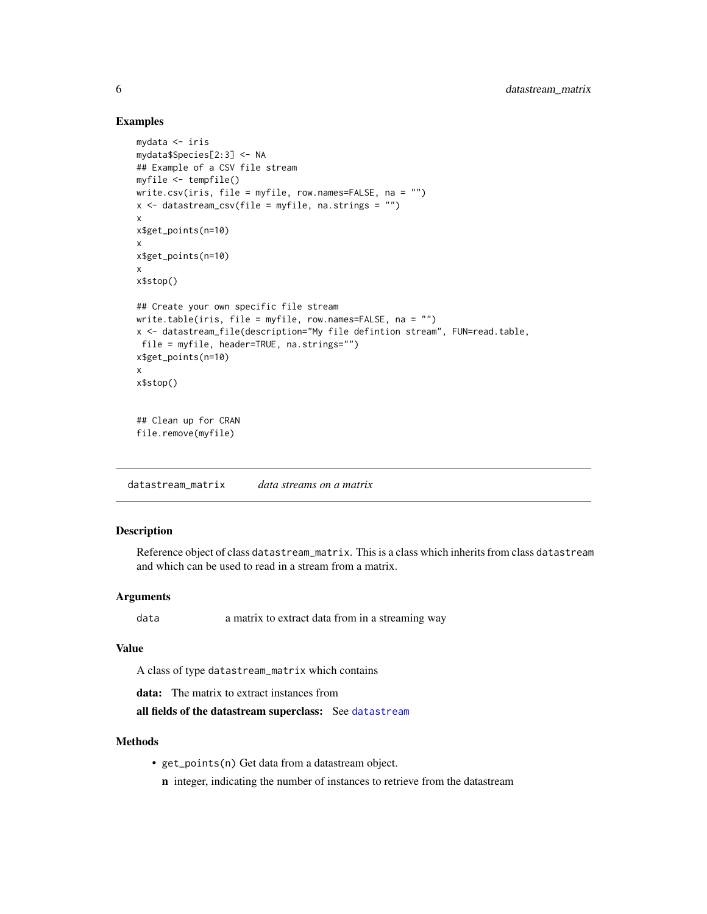## Examples

```
mydata <- iris
mydata$Species[2:3] <- NA
## Example of a CSV file stream
myfile <- tempfile()
write.csv(iris, file = myfile, row.names=FALSE, na = "")
x <- datastream_csv(file = myfile, na.strings = "")
x
x$get_points(n=10)
x
x$get_points(n=10)
x
x$stop()
## Create your own specific file stream
write.table(iris, file = myfile, row.names=FALSE, na = "")
x <- datastream_file(description="My file defintion stream", FUN=read.table,
file = myfile, header=TRUE, na.strings="")
x$get_points(n=10)
x
x$stop()
## Clean up for CRAN
file.remove(myfile)
```
<span id="page-5-1"></span>datastream\_matrix *data streams on a matrix*

#### Description

Reference object of class datastream\_matrix. This is a class which inherits from class datastream and which can be used to read in a stream from a matrix.

#### Arguments

data a matrix to extract data from in a streaming way

#### Value

A class of type datastream\_matrix which contains

data: The matrix to extract instances from

all fields of the [datastream](#page-1-1) superclass: See datastream

#### Methods

• get\_points(n) Get data from a datastream object.

n integer, indicating the number of instances to retrieve from the datastream

<span id="page-5-0"></span>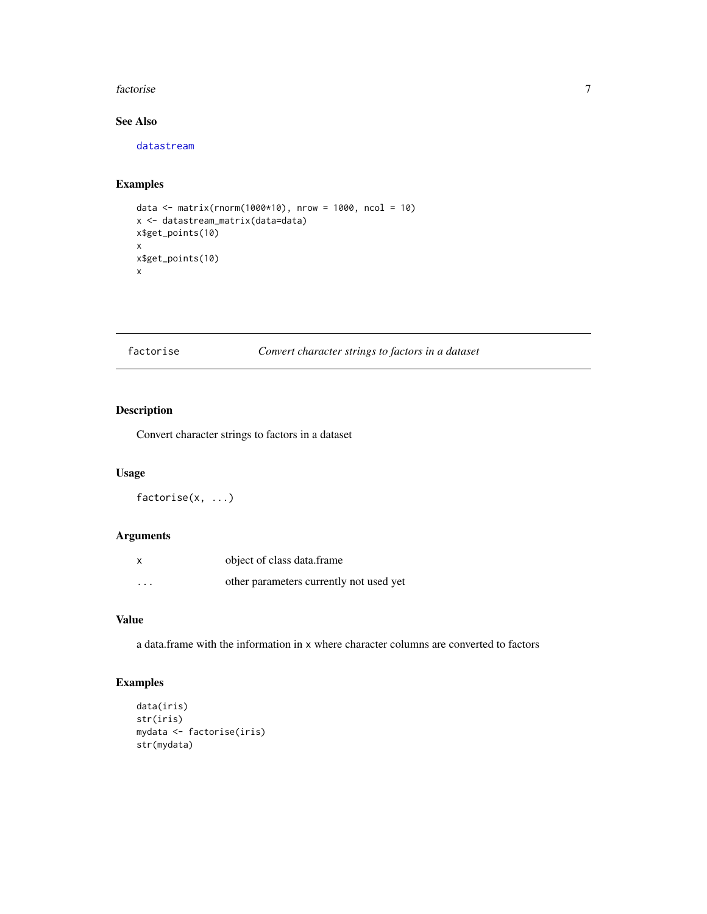#### <span id="page-6-0"></span>factorise 7

# See Also

[datastream](#page-1-1)

# Examples

```
data <- matrix(rnorm(1000*10), nrow = 1000, ncol = 10)
x <- datastream_matrix(data=data)
x$get_points(10)
x
x$get_points(10)
x
```
# factorise *Convert character strings to factors in a dataset*

# Description

Convert character strings to factors in a dataset

# Usage

factorise(x, ...)

#### Arguments

| X        | object of class data.frame              |
|----------|-----------------------------------------|
| $\cdots$ | other parameters currently not used yet |

# Value

a data.frame with the information in x where character columns are converted to factors

```
data(iris)
str(iris)
mydata <- factorise(iris)
str(mydata)
```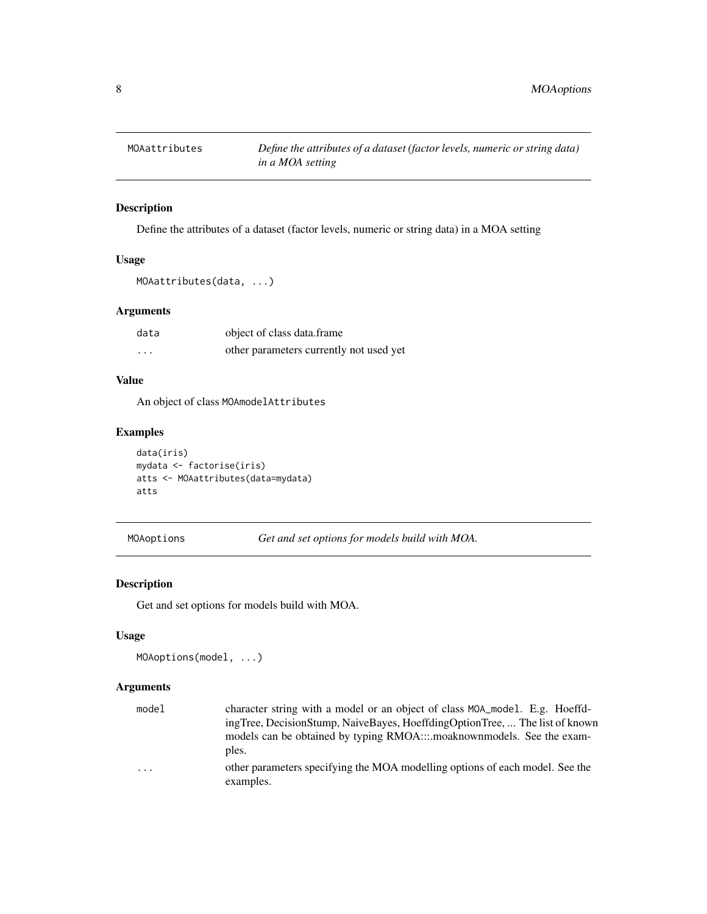<span id="page-7-0"></span>

# Description

Define the attributes of a dataset (factor levels, numeric or string data) in a MOA setting

# Usage

```
MOAattributes(data, ...)
```
# Arguments

| data | object of class data.frame              |  |
|------|-----------------------------------------|--|
| .    | other parameters currently not used yet |  |

# Value

An object of class MOAmodelAttributes

# Examples

```
data(iris)
mydata <- factorise(iris)
atts <- MOAattributes(data=mydata)
atts
```
<span id="page-7-1"></span>MOAoptions *Get and set options for models build with MOA.*

# Description

Get and set options for models build with MOA.

# Usage

```
MOAoptions(model, ...)
```

| model   | character string with a model or an object of class MOA_model. E.g. Hoeffd-               |
|---------|-------------------------------------------------------------------------------------------|
|         | ingTree, DecisionStump, NaiveBayes, HoeffdingOptionTree,  The list of known               |
|         | models can be obtained by typing RMOAmoaknownmodels. See the exam-                        |
|         | ples.                                                                                     |
| $\cdot$ | other parameters specifying the MOA modelling options of each model. See the<br>examples. |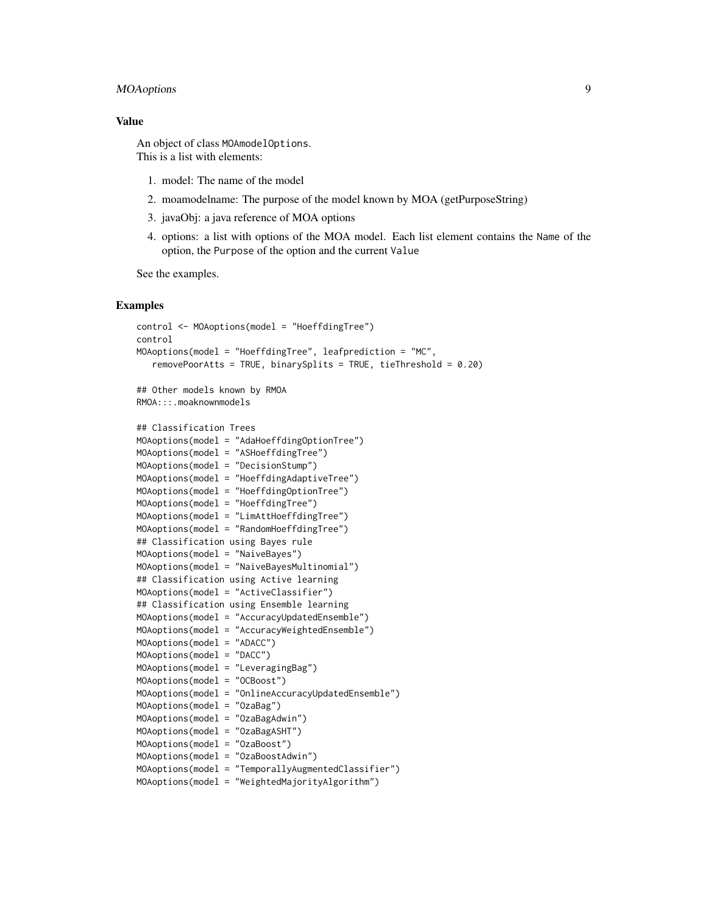# MOAoptions 9

### Value

An object of class MOAmodelOptions. This is a list with elements:

- 1. model: The name of the model
- 2. moamodelname: The purpose of the model known by MOA (getPurposeString)
- 3. javaObj: a java reference of MOA options
- 4. options: a list with options of the MOA model. Each list element contains the Name of the option, the Purpose of the option and the current Value

See the examples.

```
control <- MOAoptions(model = "HoeffdingTree")
control
MOAoptions(model = "HoeffdingTree", leafprediction = "MC",
   removePoorAtts = TRUE, binarySplits = TRUE, tieThreshold = 0.20)
## Other models known by RMOA
RMOA:::.moaknownmodels
## Classification Trees
MOAoptions(model = "AdaHoeffdingOptionTree")
MOAoptions(model = "ASHoeffdingTree")
MOAoptions(model = "DecisionStump")
```

```
MOAoptions(model = "HoeffdingAdaptiveTree")
MOAoptions(model = "HoeffdingOptionTree")
MOAoptions(model = "HoeffdingTree")
MOAoptions(model = "LimAttHoeffdingTree")
MOAoptions(model = "RandomHoeffdingTree")
## Classification using Bayes rule
MOAoptions(model = "NaiveBayes")
MOAoptions(model = "NaiveBayesMultinomial")
## Classification using Active learning
MOAoptions(model = "ActiveClassifier")
## Classification using Ensemble learning
MOAoptions(model = "AccuracyUpdatedEnsemble")
MOAoptions(model = "AccuracyWeightedEnsemble")
MOAoptions(model = "ADACC")
MOAoptions(model = "DACC")
MOAoptions(model = "LeveragingBag")
MOAoptions(model = "OCBoost")
MOAoptions(model = "OnlineAccuracyUpdatedEnsemble")
MOAoptions(model = "OzaBag")
MOAoptions(model = "OzaBagAdwin")
MOAoptions(model = "OzaBagASHT")
MOAoptions(model = "OzaBoost")
MOAoptions(model = "OzaBoostAdwin")
MOAoptions(model = "TemporallyAugmentedClassifier")
MOAoptions(model = "WeightedMajorityAlgorithm")
```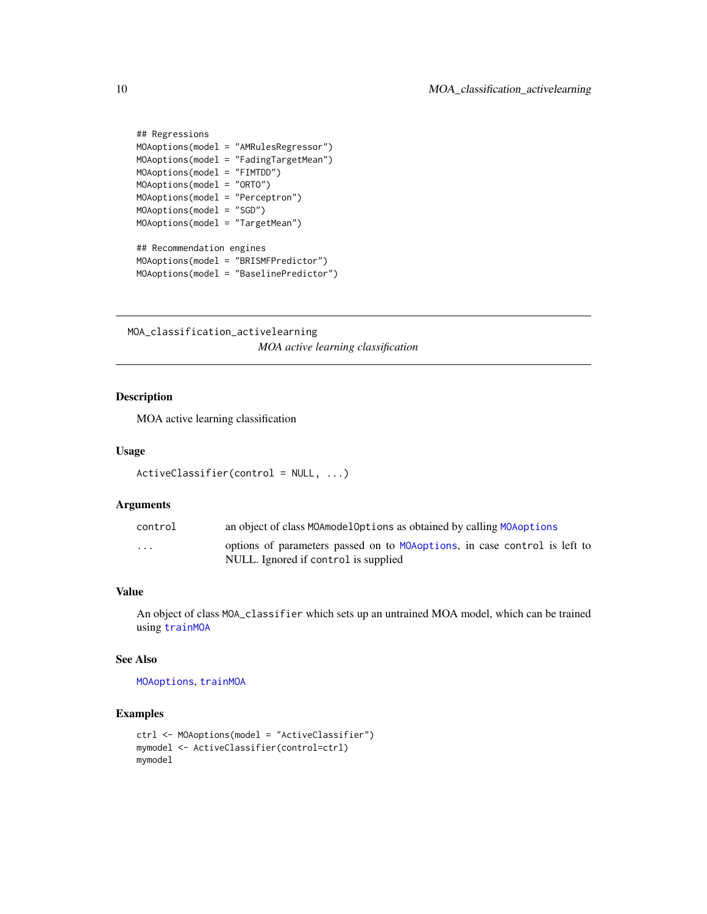```
## Regressions
MOAoptions(model = "AMRulesRegressor")
MOAoptions(model = "FadingTargetMean")
MOAoptions(model = "FIMTDD")
MOAoptions(model = "ORTO")
MOAoptions(model = "Perceptron")
MOAoptions(model = "SGD")
MOAoptions(model = "TargetMean")
## Recommendation engines
MOAoptions(model = "BRISMFPredictor")
```

```
MOAoptions(model = "BaselinePredictor")
```
MOA\_classification\_activelearning *MOA active learning classification*

# Description

MOA active learning classification

#### Usage

```
ActiveClassifier(control = NULL, ...)
```
#### Arguments

| control                 | an object of class MOAmodelOptions as obtained by calling MOAoptions                                               |
|-------------------------|--------------------------------------------------------------------------------------------------------------------|
| $\cdot$ $\cdot$ $\cdot$ | options of parameters passed on to MOA options, in case control is left to<br>NULL. Ignored if control is supplied |

# Value

An object of class MOA\_classifier which sets up an untrained MOA model, which can be trained using [trainMOA](#page-21-1)

# See Also

[MOAoptions](#page-7-1), [trainMOA](#page-21-1)

```
ctrl <- MOAoptions(model = "ActiveClassifier")
mymodel <- ActiveClassifier(control=ctrl)
mymodel
```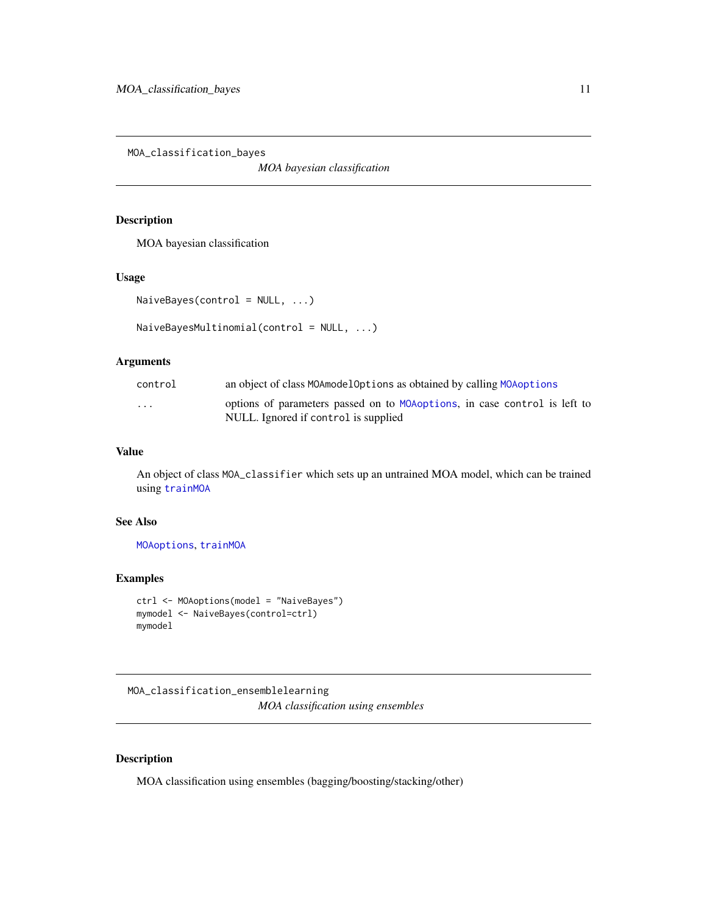<span id="page-10-0"></span>MOA\_classification\_bayes

*MOA bayesian classification*

# Description

MOA bayesian classification

#### Usage

```
NaiveBayes(control = NULL, ...)
```

```
NaiveBayesMultinomial(control = NULL, ...)
```
# Arguments

| control | an object of class MOAmodelOptions as obtained by calling MOAoptions                                              |
|---------|-------------------------------------------------------------------------------------------------------------------|
| .       | options of parameters passed on to MOAoptions, in case control is left to<br>NULL. Ignored if control is supplied |

# Value

An object of class MOA\_classifier which sets up an untrained MOA model, which can be trained using [trainMOA](#page-21-1)

# See Also

[MOAoptions](#page-7-1), [trainMOA](#page-21-1)

# Examples

```
ctrl <- MOAoptions(model = "NaiveBayes")
mymodel <- NaiveBayes(control=ctrl)
mymodel
```
MOA\_classification\_ensemblelearning *MOA classification using ensembles*

# Description

MOA classification using ensembles (bagging/boosting/stacking/other)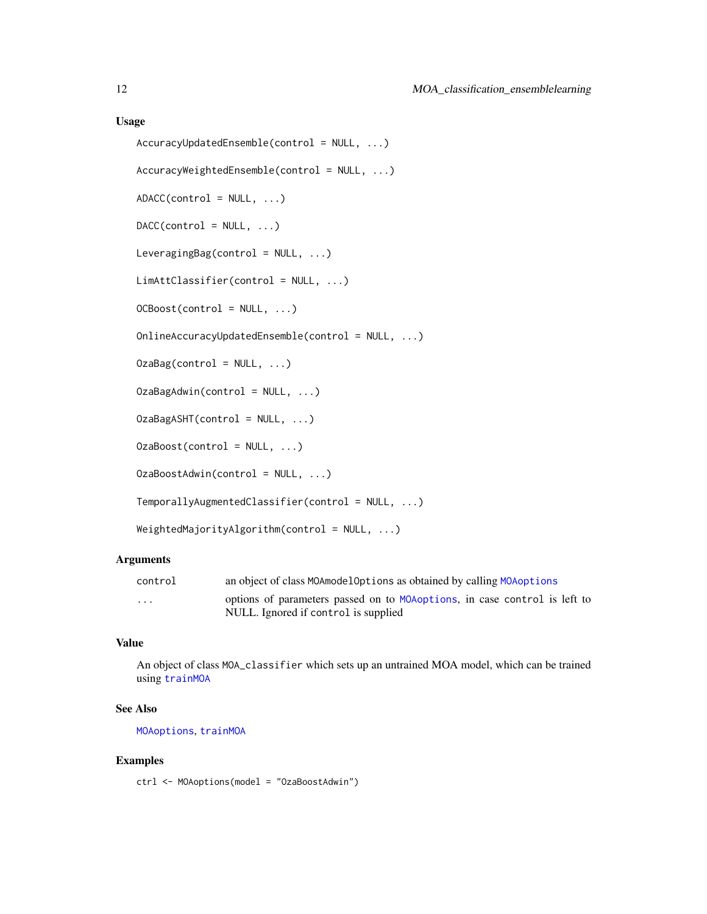#### Usage

```
AccuracyUpdatedEnsemble(control = NULL, ...)
AccuracyWeightedEnsemble(control = NULL, ...)
ADACC(control = NULL, ...)DACC(control = NULL, ...)LeveragingBag(control = NULL, ...)
LimAttClassifier(control = NULL, ...)
OCBoost(control = NULL, ...)OnlineAccuracyUpdatedEnsemble(control = NULL, ...)
OzaBag(control = NULL, ...)OzaBagAdwin(control = NULL, ...)
OzaBagASHT(control = NULL, ...)
OzaBoost(control = NULL, ...)OzaBoostAdwin(control = NULL, ...)
TemporallyAugmentedClassifier(control = NULL, ...)
WeightedMajorityAlgorithm(control = NULL, ...)
```
# Arguments

| control                 | an object of class MOAmodelOptions as obtained by calling MOAoptions      |
|-------------------------|---------------------------------------------------------------------------|
| $\cdot$ $\cdot$ $\cdot$ | options of parameters passed on to MOAoptions, in case control is left to |
|                         | NULL. Ignored if control is supplied                                      |

# Value

An object of class MOA\_classifier which sets up an untrained MOA model, which can be trained using [trainMOA](#page-21-1)

# See Also

[MOAoptions](#page-7-1), [trainMOA](#page-21-1)

# Examples

ctrl <- MOAoptions(model = "OzaBoostAdwin")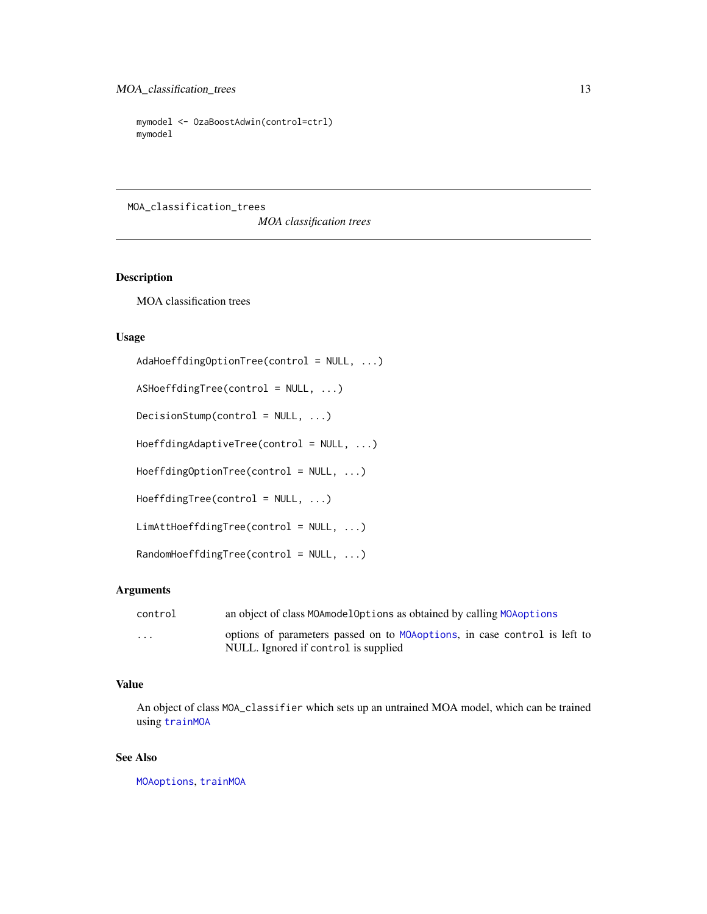```
mymodel <- OzaBoostAdwin(control=ctrl)
mymodel
```
MOA\_classification\_trees

*MOA classification trees*

#### <span id="page-12-1"></span>Description

MOA classification trees

# Usage

```
AdaHoeffdingOptionTree(control = NULL, ...)
```
ASHoeffdingTree(control = NULL, ...)

 $DecisionStump(control = NULL, ...)$ 

HoeffdingAdaptiveTree(control = NULL, ...)

HoeffdingOptionTree(control = NULL, ...)

HoeffdingTree(control = NULL, ...)

```
LimAttHoeffdingTree(control = NULL, ...)
```

```
RandomHoeffdingTree(control = NULL, ...)
```
# Arguments

| control | an object of class MOAmodelOptions as obtained by calling MOAoptions                                               |
|---------|--------------------------------------------------------------------------------------------------------------------|
| .       | options of parameters passed on to MOA options, in case control is left to<br>NULL. Ignored if control is supplied |

# Value

An object of class MOA\_classifier which sets up an untrained MOA model, which can be trained using [trainMOA](#page-21-1)

#### See Also

[MOAoptions](#page-7-1), [trainMOA](#page-21-1)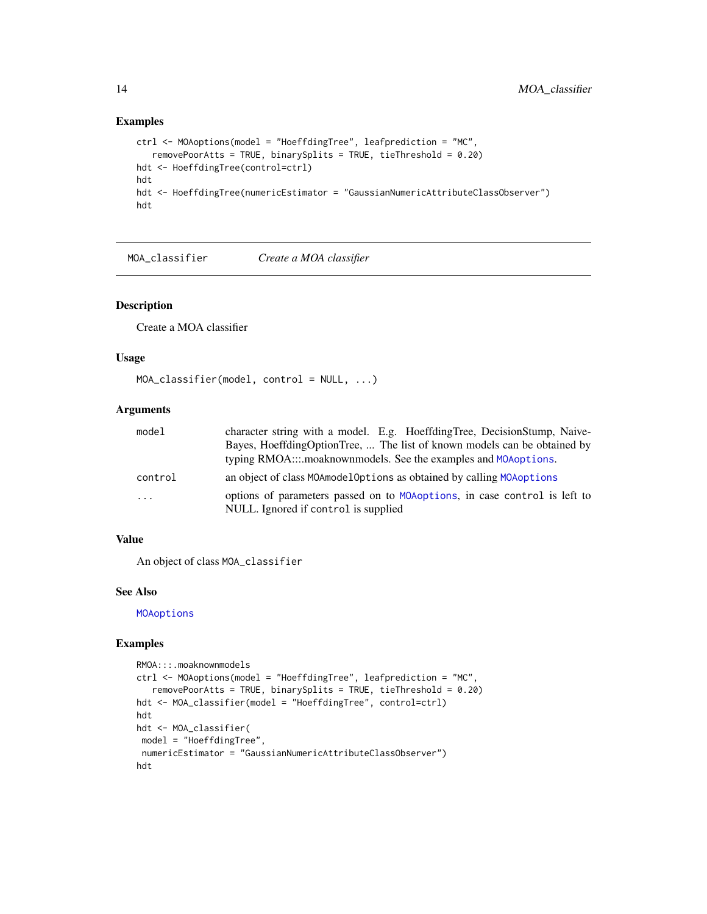#### Examples

```
ctrl <- MOAoptions(model = "HoeffdingTree", leafprediction = "MC",
   removePoorAtts = TRUE, binarySplits = TRUE, tieThreshold = 0.20)
hdt <- HoeffdingTree(control=ctrl)
hdt
hdt <- HoeffdingTree(numericEstimator = "GaussianNumericAttributeClassObserver")
hdt
```
<span id="page-13-1"></span>MOA\_classifier *Create a MOA classifier*

# Description

Create a MOA classifier

#### Usage

```
MOA_classifier(model, control = NULL, ...)
```
#### Arguments

| model    | character string with a model. E.g. HoeffdingTree, DecisionStump, Naive-   |
|----------|----------------------------------------------------------------------------|
|          | Bayes, HoeffdingOptionTree,  The list of known models can be obtained by   |
|          | typing RMOA:::.moaknownmodels. See the examples and MOAoptions.            |
| control  | an object of class MOAmodelOptions as obtained by calling MOAoptions       |
| $\cdots$ | options of parameters passed on to MOA options, in case control is left to |
|          | NULL. Ignored if control is supplied                                       |

# Value

An object of class MOA\_classifier

# See Also

**[MOAoptions](#page-7-1)** 

```
RMOA:::.moaknownmodels
ctrl <- MOAoptions(model = "HoeffdingTree", leafprediction = "MC",
   removePoorAtts = TRUE, binarySplits = TRUE, tieThreshold = 0.20)
hdt <- MOA_classifier(model = "HoeffdingTree", control=ctrl)
hdt
hdt <- MOA_classifier(
model = "HoeffdingTree",
numericEstimator = "GaussianNumericAttributeClassObserver")
hdt
```
<span id="page-13-0"></span>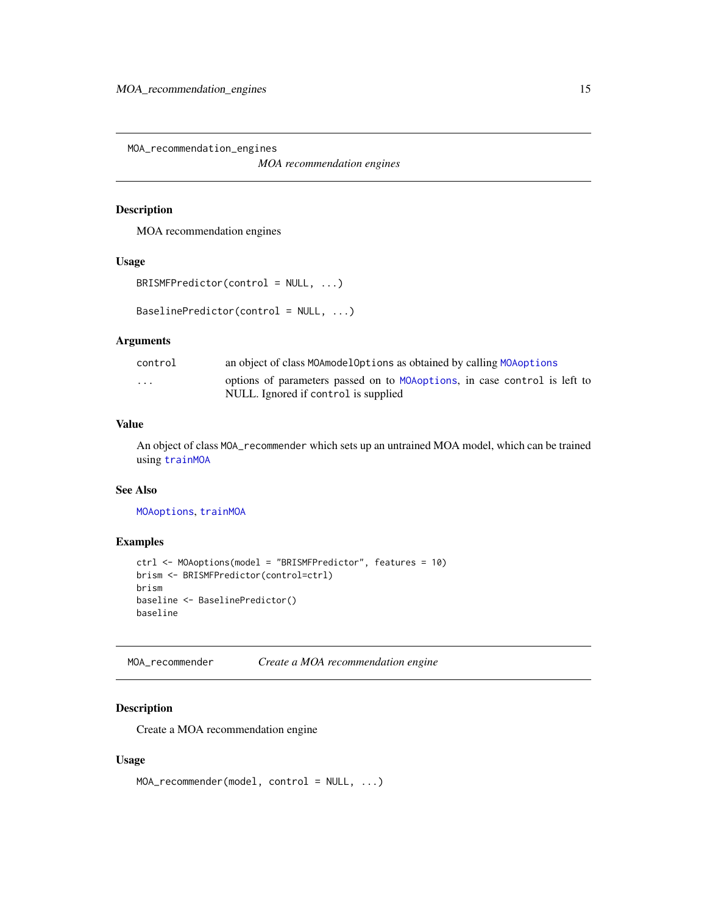<span id="page-14-0"></span>MOA\_recommendation\_engines

*MOA recommendation engines*

# <span id="page-14-2"></span>Description

MOA recommendation engines

#### Usage

```
BRISMFPredictor(control = NULL, ...)
```

```
BaselinePredictor(control = NULL, ...)
```
#### Arguments

| control                 | an object of class MOAmodelOptions as obtained by calling MOAoptions       |  |  |
|-------------------------|----------------------------------------------------------------------------|--|--|
| $\cdot$ $\cdot$ $\cdot$ | options of parameters passed on to MOA options, in case control is left to |  |  |
|                         | NULL. Ignored if control is supplied                                       |  |  |

# Value

An object of class MOA\_recommender which sets up an untrained MOA model, which can be trained using [trainMOA](#page-21-1)

#### See Also

[MOAoptions](#page-7-1), [trainMOA](#page-21-1)

# Examples

```
ctrl <- MOAoptions(model = "BRISMFPredictor", features = 10)
brism <- BRISMFPredictor(control=ctrl)
brism
baseline <- BaselinePredictor()
baseline
```
<span id="page-14-1"></span>MOA\_recommender *Create a MOA recommendation engine*

# Description

Create a MOA recommendation engine

#### Usage

```
MOA_recommender(model, control = NULL, ...)
```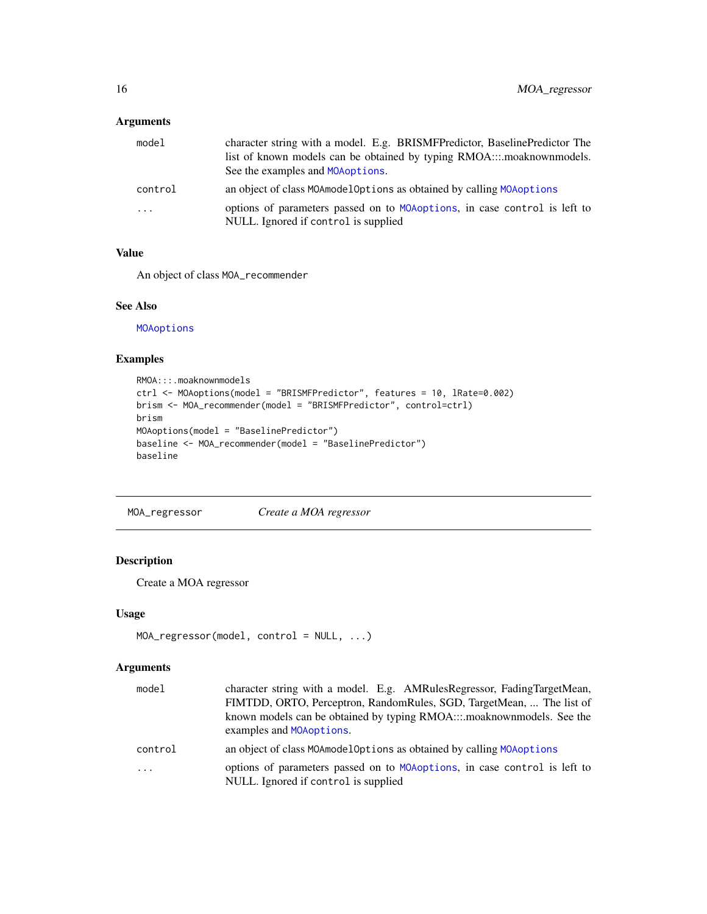# <span id="page-15-0"></span>Arguments

| model    | character string with a model. E.g. BRISMFPredictor, BaselinePredictor The                                         |
|----------|--------------------------------------------------------------------------------------------------------------------|
|          | list of known models can be obtained by typing RMOAmoaknownmodels.                                                 |
|          | See the examples and MOA options.                                                                                  |
| control  | an object of class MOAmodelOptions as obtained by calling MOA options                                              |
| $\cdots$ | options of parameters passed on to MOA options, in case control is left to<br>NULL. Ignored if control is supplied |

# Value

An object of class MOA\_recommender

#### See Also

**[MOAoptions](#page-7-1)** 

# Examples

```
RMOA:::.moaknownmodels
ctrl <- MOAoptions(model = "BRISMFPredictor", features = 10, lRate=0.002)
brism <- MOA_recommender(model = "BRISMFPredictor", control=ctrl)
brism
MOAoptions(model = "BaselinePredictor")
baseline <- MOA_recommender(model = "BaselinePredictor")
baseline
```
<span id="page-15-1"></span>MOA\_regressor *Create a MOA regressor*

# Description

Create a MOA regressor

# Usage

```
MOA_regressor(model, control = NULL, ...)
```

| model      | character string with a model. E.g. AMRulesRegressor, FadingTargetMean,<br>FIMTDD, ORTO, Perceptron, RandomRules, SGD, TargetMean,  The list of<br>known models can be obtained by typing RMOAmoaknownmodels. See the<br>examples and MOAoptions. |
|------------|---------------------------------------------------------------------------------------------------------------------------------------------------------------------------------------------------------------------------------------------------|
| control    | an object of class MOAmodelOptions as obtained by calling MOAoptions                                                                                                                                                                              |
| $\ddots$ . | options of parameters passed on to MOAoptions, in case control is left to<br>NULL. Ignored if control is supplied                                                                                                                                 |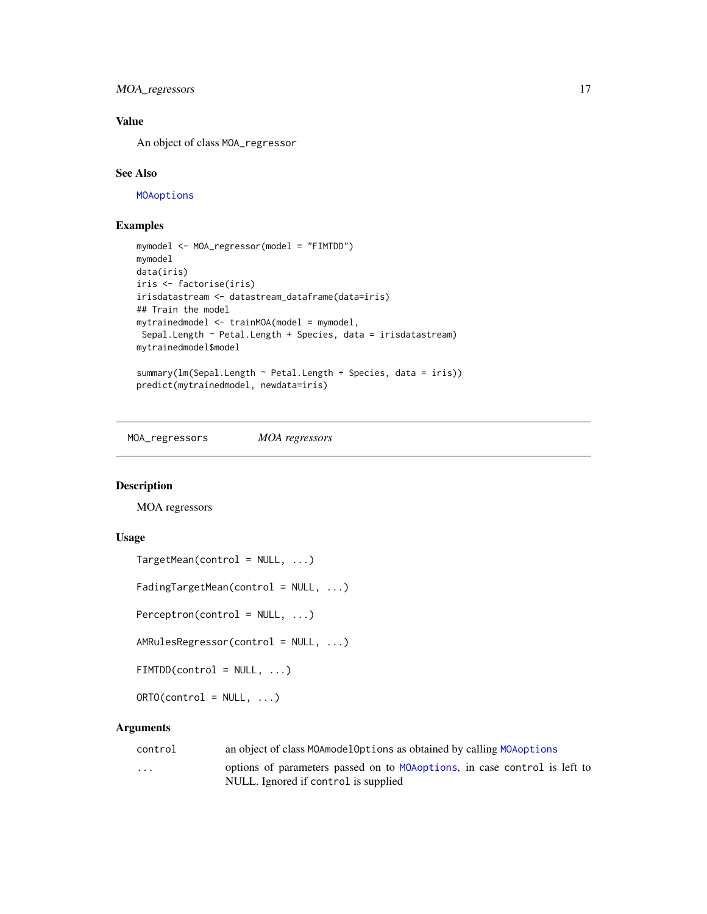# <span id="page-16-0"></span>MOA\_regressors 17

# Value

An object of class MOA\_regressor

#### See Also

[MOAoptions](#page-7-1)

#### Examples

```
mymodel <- MOA_regressor(model = "FIMTDD")
mymodel
data(iris)
iris <- factorise(iris)
irisdatastream <- datastream_dataframe(data=iris)
## Train the model
mytrainedmodel <- trainMOA(model = mymodel,
Sepal.Length ~ Petal.Length + Species, data = irisdatastream)
mytrainedmodel$model
summary(lm(Sepal.Length ~ Petal.Length + Species, data = iris))
predict(mytrainedmodel, newdata=iris)
```
MOA\_regressors *MOA regressors*

#### <span id="page-16-1"></span>Description

MOA regressors

# Usage

```
TargetMean(control = NULL, ...)
```
FadingTargetMean(control = NULL, ...)

 $Perceptron(control = NULL, ...)$ 

AMRulesRegressor(control = NULL, ...)

 $FIMTDD(control = NULL, ...)$ 

 $ORTO(control = NULL, ...)$ 

| control | an object of class MOAmodelOptions as obtained by calling MOAoptions |  |  |
|---------|----------------------------------------------------------------------|--|--|
|         |                                                                      |  |  |

```
... options of parameters passed on to MOAoptions, in case control is left to
               NULL. Ignored if control is supplied
```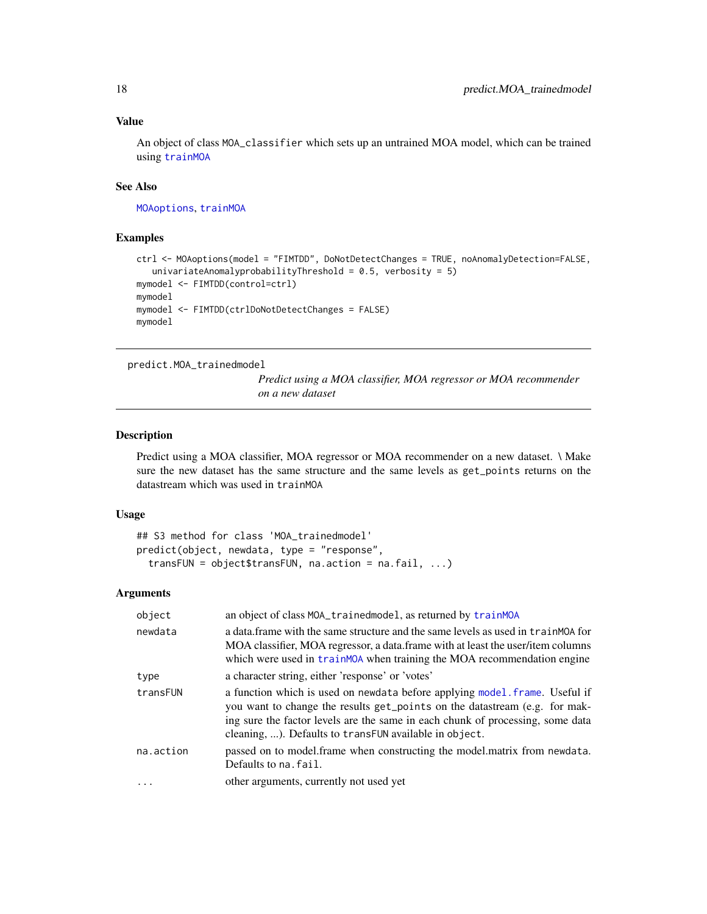# Value

An object of class MOA\_classifier which sets up an untrained MOA model, which can be trained using [trainMOA](#page-21-1)

# See Also

[MOAoptions](#page-7-1), [trainMOA](#page-21-1)

#### Examples

```
ctrl <- MOAoptions(model = "FIMTDD", DoNotDetectChanges = TRUE, noAnomalyDetection=FALSE,
   univariateAnomalyprobabilityThreshold = 0.5, verbosity = 5)
mymodel <- FIMTDD(control=ctrl)
mymodel
mymodel <- FIMTDD(ctrlDoNotDetectChanges = FALSE)
mymodel
```
<span id="page-17-1"></span>predict.MOA\_trainedmodel

*Predict using a MOA classifier, MOA regressor or MOA recommender on a new dataset*

#### Description

Predict using a MOA classifier, MOA regressor or MOA recommender on a new dataset. \ Make sure the new dataset has the same structure and the same levels as get\_points returns on the datastream which was used in trainMOA

#### Usage

```
## S3 method for class 'MOA_trainedmodel'
predict(object, newdata, type = "response",
 transFUN = object$transFUN, na.action = na.fail, ...)
```

| object    | an object of class MOA_trainedmodel, as returned by trainMOA                                                                                                                                                                                                                                          |
|-----------|-------------------------------------------------------------------------------------------------------------------------------------------------------------------------------------------------------------------------------------------------------------------------------------------------------|
| newdata   | a data frame with the same structure and the same levels as used in train MOA for<br>MOA classifier, MOA regressor, a data frame with at least the user/item columns<br>which were used in trainmove when training the MOA recommendation engine                                                      |
| type      | a character string, either 'response' or 'votes'                                                                                                                                                                                                                                                      |
| transFUN  | a function which is used on newdata before applying model. frame. Useful if<br>you want to change the results get_points on the datastream (e.g. for mak-<br>ing sure the factor levels are the same in each chunk of processing, some data<br>cleaning, ). Defaults to transFUN available in object. |
| na.action | passed on to model.frame when constructing the model.matrix from newdata.<br>Defaults to na. fail.                                                                                                                                                                                                    |
|           | other arguments, currently not used yet                                                                                                                                                                                                                                                               |

<span id="page-17-0"></span>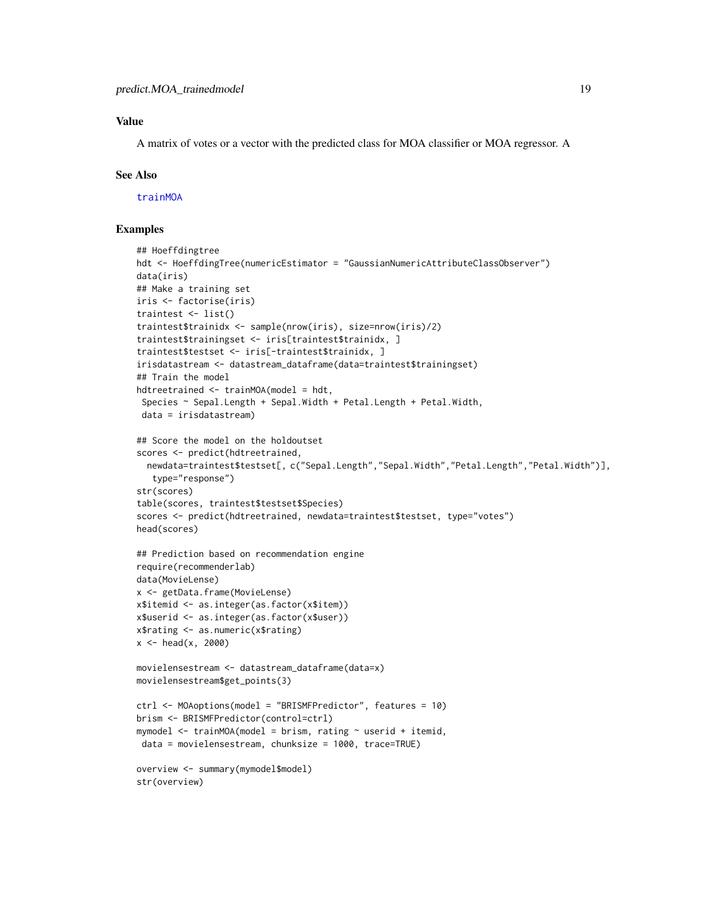# <span id="page-18-0"></span>Value

A matrix of votes or a vector with the predicted class for MOA classifier or MOA regressor. A

#### See Also

[trainMOA](#page-21-1)

```
## Hoeffdingtree
hdt <- HoeffdingTree(numericEstimator = "GaussianNumericAttributeClassObserver")
data(iris)
## Make a training set
iris <- factorise(iris)
traintest <- list()
traintest$trainidx <- sample(nrow(iris), size=nrow(iris)/2)
traintest$trainingset <- iris[traintest$trainidx, ]
traintest$testset <- iris[-traintest$trainidx, ]
irisdatastream <- datastream_dataframe(data=traintest$trainingset)
## Train the model
hdtreetrained <- trainMOA(model = hdt,
 Species ~ Sepal.Length + Sepal.Width + Petal.Length + Petal.Width,
 data = irisdatastream)
## Score the model on the holdoutset
scores <- predict(hdtreetrained,
  newdata=traintest$testset[, c("Sepal.Length","Sepal.Width","Petal.Length","Petal.Width")],
  type="response")
str(scores)
table(scores, traintest$testset$Species)
scores <- predict(hdtreetrained, newdata=traintest$testset, type="votes")
head(scores)
## Prediction based on recommendation engine
require(recommenderlab)
data(MovieLense)
x <- getData.frame(MovieLense)
x$itemid <- as.integer(as.factor(x$item))
x$userid <- as.integer(as.factor(x$user))
x$rating <- as.numeric(x$rating)
x < - head(x, 2000)
movielensestream <- datastream_dataframe(data=x)
movielensestream$get_points(3)
ctrl <- MOAoptions(model = "BRISMFPredictor", features = 10)
brism <- BRISMFPredictor(control=ctrl)
mymodel <- trainMOA(model = brism, rating ~ userid + itemid,
data = movielensestream, chunksize = 1000, trace=TRUE)
overview <- summary(mymodel$model)
str(overview)
```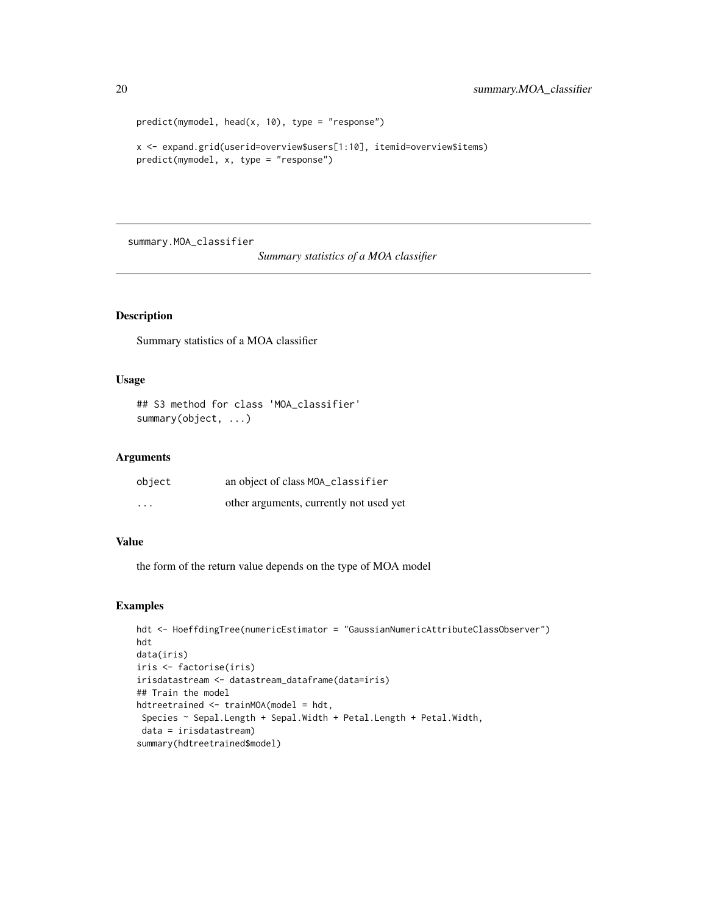```
predict(mymodel, head(x, 10), type = "response")
x <- expand.grid(userid=overview$users[1:10], itemid=overview$items)
predict(mymodel, x, type = "response")
```
summary.MOA\_classifier

*Summary statistics of a MOA classifier*

#### Description

Summary statistics of a MOA classifier

# Usage

## S3 method for class 'MOA\_classifier' summary(object, ...)

#### Arguments

| object  | an object of class MOA_classifier       |
|---------|-----------------------------------------|
| $\cdot$ | other arguments, currently not used yet |

# Value

the form of the return value depends on the type of MOA model

```
hdt <- HoeffdingTree(numericEstimator = "GaussianNumericAttributeClassObserver")
hdt
data(iris)
iris <- factorise(iris)
irisdatastream <- datastream_dataframe(data=iris)
## Train the model
hdtreetrained <- trainMOA(model = hdt,
Species ~ Sepal.Length + Sepal.Width + Petal.Length + Petal.Width,
 data = irisdatastream)
summary(hdtreetrained$model)
```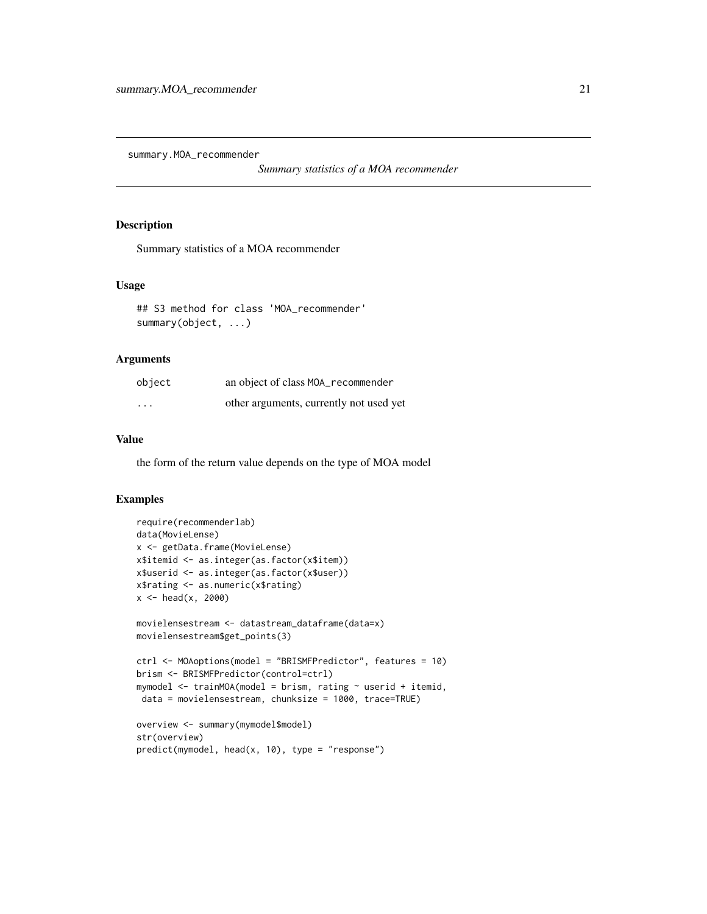<span id="page-20-0"></span>summary.MOA\_recommender

*Summary statistics of a MOA recommender*

#### Description

Summary statistics of a MOA recommender

#### Usage

```
## S3 method for class 'MOA_recommender'
summary(object, ...)
```
#### Arguments

| object   | an object of class MOA_recommender      |
|----------|-----------------------------------------|
| $\cdots$ | other arguments, currently not used yet |

# Value

the form of the return value depends on the type of MOA model

```
require(recommenderlab)
data(MovieLense)
x <- getData.frame(MovieLense)
x$itemid <- as.integer(as.factor(x$item))
x$userid <- as.integer(as.factor(x$user))
x$rating <- as.numeric(x$rating)
x < - head(x, 2000)
movielensestream <- datastream_dataframe(data=x)
movielensestream$get_points(3)
ctrl <- MOAoptions(model = "BRISMFPredictor", features = 10)
brism <- BRISMFPredictor(control=ctrl)
mymodel \leq trainMOA(model = brism, rating \sim userid + itemid,
data = movielensestream, chunksize = 1000, trace=TRUE)
overview <- summary(mymodel$model)
str(overview)
predict(mymodel, head(x, 10), type = "response")
```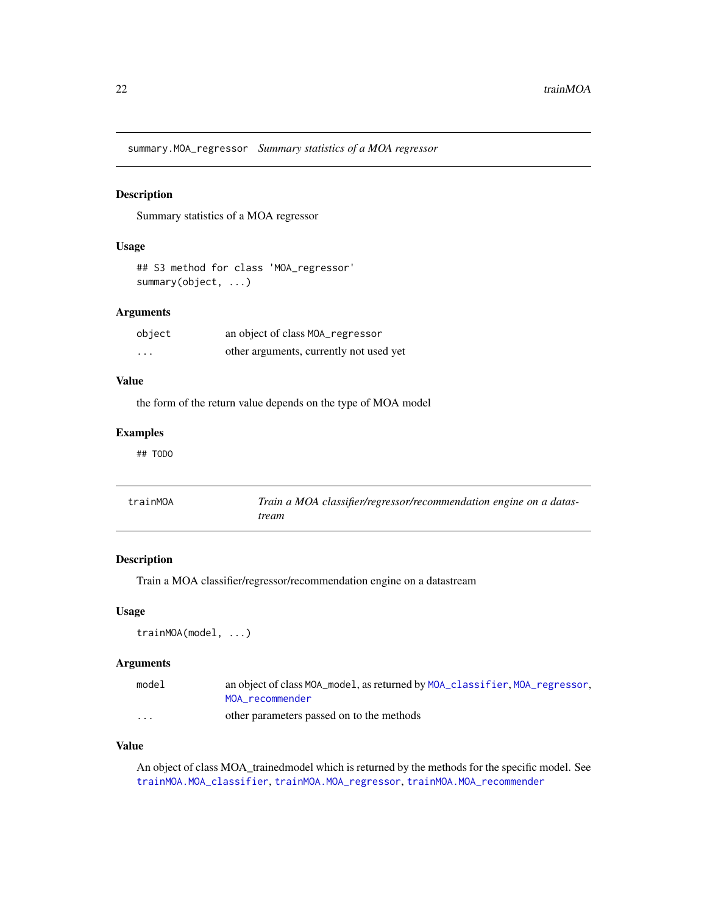<span id="page-21-0"></span>summary.MOA\_regressor *Summary statistics of a MOA regressor*

#### Description

Summary statistics of a MOA regressor

# Usage

```
## S3 method for class 'MOA_regressor'
summary(object, ...)
```
# Arguments

| object                  | an object of class MOA_regressor        |
|-------------------------|-----------------------------------------|
| $\cdot$ $\cdot$ $\cdot$ | other arguments, currently not used yet |

# Value

the form of the return value depends on the type of MOA model

#### Examples

## TODO

<span id="page-21-1"></span>

| trainMOA | Train a MOA classifier/regressor/recommendation engine on a datas- |
|----------|--------------------------------------------------------------------|
|          | tream                                                              |

## Description

Train a MOA classifier/regressor/recommendation engine on a datastream

# Usage

trainMOA(model, ...)

# Arguments

| model    | an object of class MOA_model, as returned by MOA_classifier, MOA_regressor, |
|----------|-----------------------------------------------------------------------------|
|          | MOA recommender                                                             |
| $\cdots$ | other parameters passed on to the methods                                   |

#### Value

An object of class MOA\_trainedmodel which is returned by the methods for the specific model. See [trainMOA.MOA\\_classifier](#page-22-1), [trainMOA.MOA\\_regressor](#page-25-1), [trainMOA.MOA\\_recommender](#page-23-1)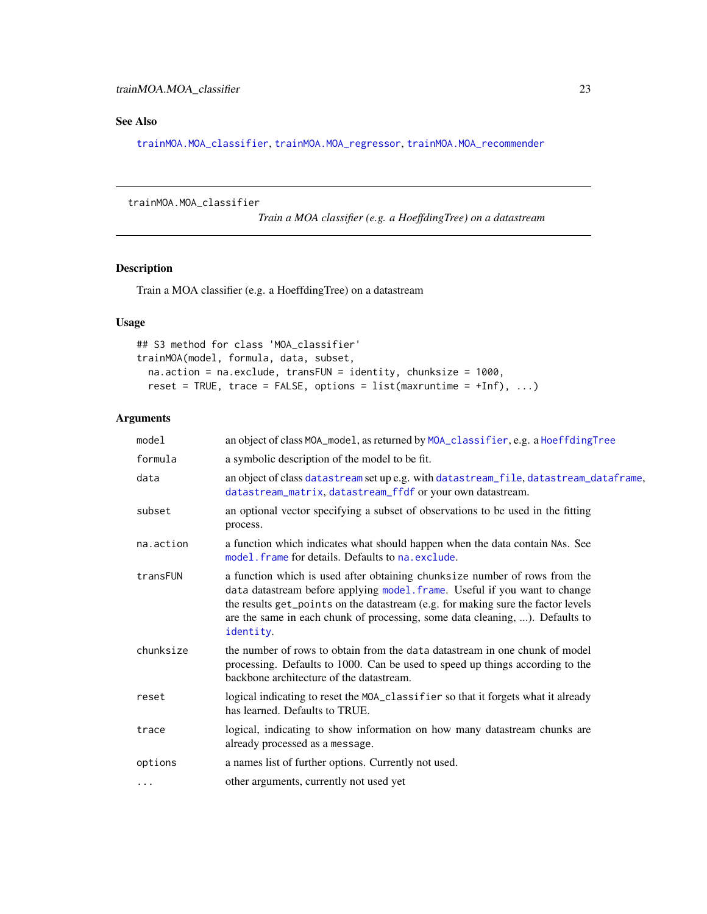# <span id="page-22-0"></span>See Also

[trainMOA.MOA\\_classifier](#page-22-1), [trainMOA.MOA\\_regressor](#page-25-1), [trainMOA.MOA\\_recommender](#page-23-1)

#### <span id="page-22-1"></span>trainMOA.MOA\_classifier

*Train a MOA classifier (e.g. a HoeffdingTree) on a datastream*

# Description

Train a MOA classifier (e.g. a HoeffdingTree) on a datastream

# Usage

```
## S3 method for class 'MOA_classifier'
trainMOA(model, formula, data, subset,
 na.action = na.exclude, transFUN = identity, chunksize = 1000,
  reset = TRUE, trace = FALSE, options = list(max runtime = +Inf), ...
```

| model     | an object of class MOA_model, as returned by MOA_classifier, e.g. a HoeffdingTree                                                                                                                                                                                                                                                         |
|-----------|-------------------------------------------------------------------------------------------------------------------------------------------------------------------------------------------------------------------------------------------------------------------------------------------------------------------------------------------|
| formula   | a symbolic description of the model to be fit.                                                                                                                                                                                                                                                                                            |
| data      | an object of class datastream set up e.g. with datastream_file, datastream_dataframe,<br>datastream_matrix, datastream_ffdf or your own datastream.                                                                                                                                                                                       |
| subset    | an optional vector specifying a subset of observations to be used in the fitting<br>process.                                                                                                                                                                                                                                              |
| na.action | a function which indicates what should happen when the data contain NAs. See<br>model. frame for details. Defaults to na. exclude.                                                                                                                                                                                                        |
| transFUN  | a function which is used after obtaining chunksize number of rows from the<br>data datastream before applying model. frame. Useful if you want to change<br>the results get_points on the datastream (e.g. for making sure the factor levels<br>are the same in each chunk of processing, some data cleaning, ). Defaults to<br>identity. |
| chunksize | the number of rows to obtain from the data datastream in one chunk of model<br>processing. Defaults to 1000. Can be used to speed up things according to the<br>backbone architecture of the datastream.                                                                                                                                  |
| reset     | logical indicating to reset the MOA_classifier so that it forgets what it already<br>has learned. Defaults to TRUE.                                                                                                                                                                                                                       |
| trace     | logical, indicating to show information on how many datastream chunks are<br>already processed as a message.                                                                                                                                                                                                                              |
| options   | a names list of further options. Currently not used.                                                                                                                                                                                                                                                                                      |
| $\cdots$  | other arguments, currently not used yet                                                                                                                                                                                                                                                                                                   |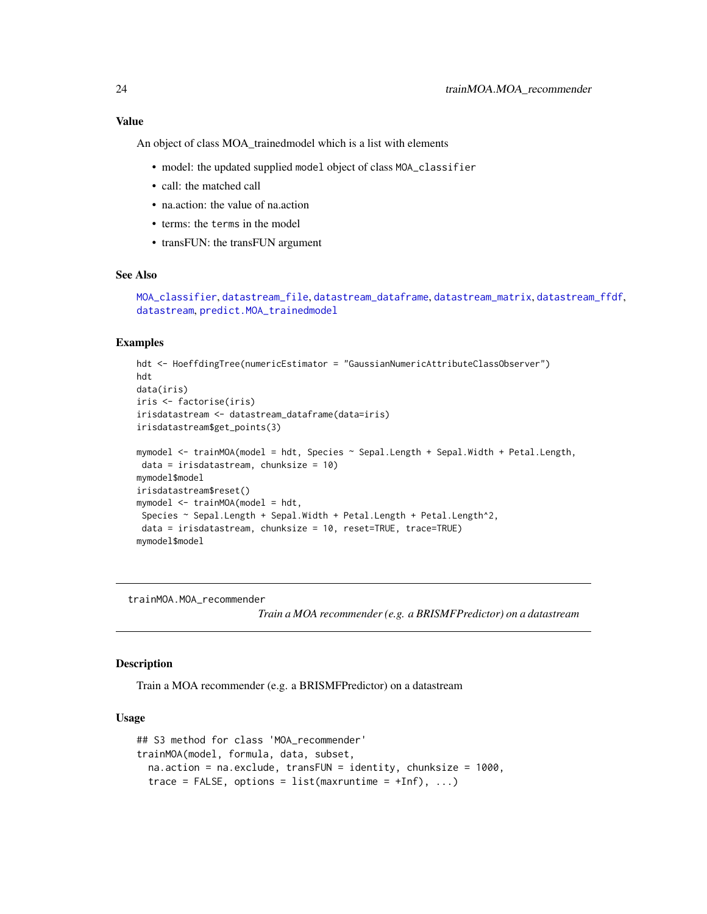# <span id="page-23-0"></span>Value

An object of class MOA\_trainedmodel which is a list with elements

- model: the updated supplied model object of class MOA\_classifier
- call: the matched call
- na.action: the value of na.action
- terms: the terms in the model
- transFUN: the transFUN argument

# See Also

```
MOA_classifier, datastream_file, datastream_dataframe, datastream_matrix, datastream_ffdf,
datastream, predict.MOA_trainedmodel
```
#### Examples

```
hdt <- HoeffdingTree(numericEstimator = "GaussianNumericAttributeClassObserver")
hdt
data(iris)
iris <- factorise(iris)
irisdatastream <- datastream_dataframe(data=iris)
irisdatastream$get_points(3)
mymodel <- trainMOA(model = hdt, Species ~ Sepal.Length + Sepal.Width + Petal.Length,
data = irisdatastream, chunksize = 10)
mymodel$model
irisdatastream$reset()
mymodel <- trainMOA(model = hdt,
 Species ~ Sepal.Length + Sepal.Width + Petal.Length + Petal.Length^2,
 data = irisdatastream, chunksize = 10, reset=TRUE, trace=TRUE)
mymodel$model
```
<span id="page-23-1"></span>trainMOA.MOA\_recommender

*Train a MOA recommender (e.g. a BRISMFPredictor) on a datastream*

#### Description

Train a MOA recommender (e.g. a BRISMFPredictor) on a datastream

#### Usage

```
## S3 method for class 'MOA_recommender'
trainMOA(model, formula, data, subset,
  na.action = na.exclude, transFUN = identity, chunksize = 1000,
  trace = FALSE, options = list(maxruntime = +Inf), \ldots)
```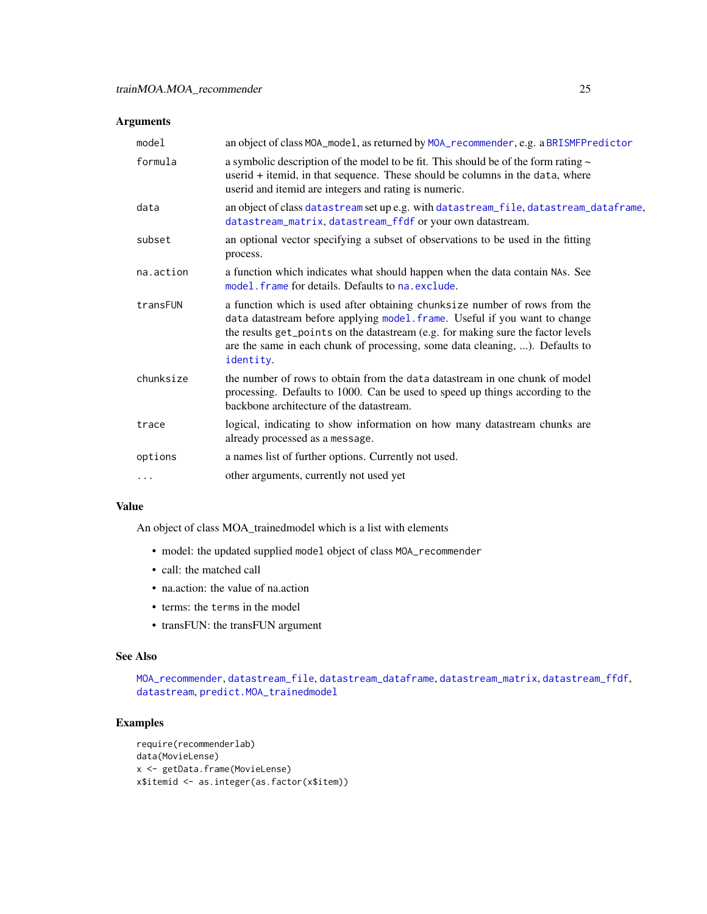#### <span id="page-24-0"></span>Arguments

| model     | an object of class MOA_model, as returned by MOA_recommender, e.g. a BRISMFPredictor                                                                                                                                                                                                                                                      |
|-----------|-------------------------------------------------------------------------------------------------------------------------------------------------------------------------------------------------------------------------------------------------------------------------------------------------------------------------------------------|
| formula   | a symbolic description of the model to be fit. This should be of the form rating $\sim$<br>userid + itemid, in that sequence. These should be columns in the data, where<br>userid and itemid are integers and rating is numeric.                                                                                                         |
| data      | an object of class datastream set up e.g. with datastream_file, datastream_dataframe,<br>datastream_matrix, datastream_ffdf or your own datastream.                                                                                                                                                                                       |
| subset    | an optional vector specifying a subset of observations to be used in the fitting<br>process.                                                                                                                                                                                                                                              |
| na.action | a function which indicates what should happen when the data contain NAs. See<br>model, frame for details. Defaults to na, exclude.                                                                                                                                                                                                        |
| transFUN  | a function which is used after obtaining chunksize number of rows from the<br>data datastream before applying model. frame. Useful if you want to change<br>the results get_points on the datastream (e.g. for making sure the factor levels<br>are the same in each chunk of processing, some data cleaning, ). Defaults to<br>identity. |
| chunksize | the number of rows to obtain from the data datastream in one chunk of model<br>processing. Defaults to 1000. Can be used to speed up things according to the<br>backbone architecture of the datastream.                                                                                                                                  |
| trace     | logical, indicating to show information on how many datastream chunks are<br>already processed as a message.                                                                                                                                                                                                                              |
| options   | a names list of further options. Currently not used.                                                                                                                                                                                                                                                                                      |
| $\cdots$  | other arguments, currently not used yet                                                                                                                                                                                                                                                                                                   |

#### Value

An object of class MOA\_trainedmodel which is a list with elements

- model: the updated supplied model object of class MOA\_recommender
- call: the matched call
- na.action: the value of na.action
- terms: the terms in the model
- transFUN: the transFUN argument

# See Also

[MOA\\_recommender](#page-14-1), [datastream\\_file](#page-4-1), [datastream\\_dataframe](#page-2-1), [datastream\\_matrix](#page-5-1), [datastream\\_ffdf](#page-3-1), [datastream](#page-1-1), [predict.MOA\\_trainedmodel](#page-17-1)

```
require(recommenderlab)
data(MovieLense)
x <- getData.frame(MovieLense)
x$itemid <- as.integer(as.factor(x$item))
```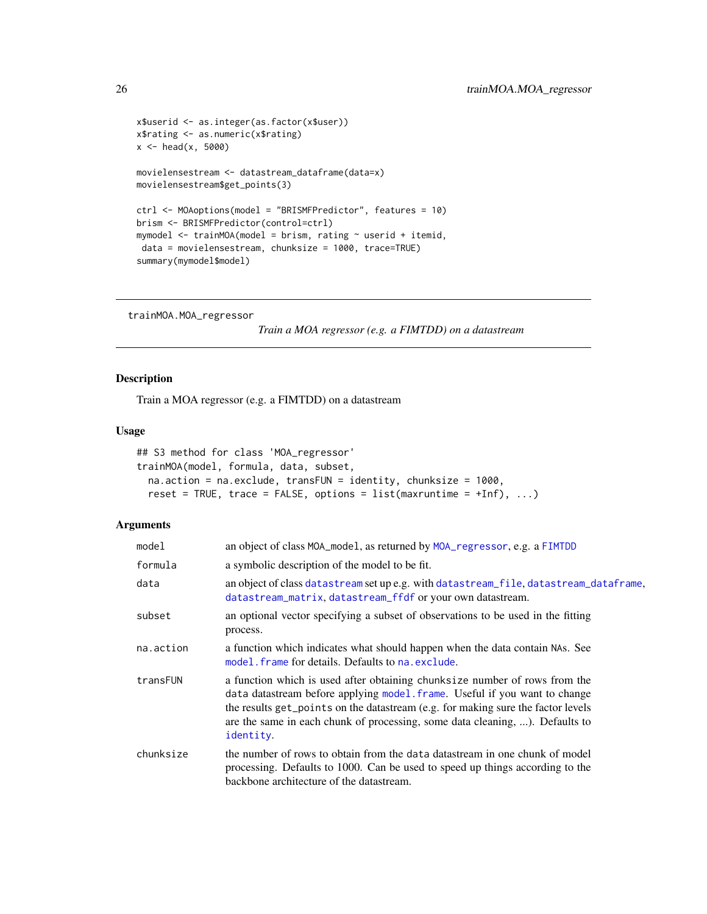```
x$userid <- as.integer(as.factor(x$user))
x$rating <- as.numeric(x$rating)
x < - head(x, 5000)
movielensestream <- datastream_dataframe(data=x)
movielensestream$get_points(3)
ctrl <- MOAoptions(model = "BRISMFPredictor", features = 10)
brism <- BRISMFPredictor(control=ctrl)
mymodel <- trainMOA(model = brism, rating ~ userid + itemid,
data = movielensestream, chunksize = 1000, trace=TRUE)
summary(mymodel$model)
```

```
trainMOA.MOA_regressor
```

```
Train a MOA regressor (e.g. a FIMTDD) on a datastream
```
# Description

Train a MOA regressor (e.g. a FIMTDD) on a datastream

# Usage

```
## S3 method for class 'MOA_regressor'
trainMOA(model, formula, data, subset,
 na.action = na.exclude, transFUN = identity, chunksize = 1000,
 reset = TRUE, trace = FALSE, options = list(max runtime = +Inf), ...
```

| model     | an object of class MOA_mode1, as returned by MOA_regressor, e.g. a FIMTDD                                                                                                                                                                                                                                                                 |
|-----------|-------------------------------------------------------------------------------------------------------------------------------------------------------------------------------------------------------------------------------------------------------------------------------------------------------------------------------------------|
| formula   | a symbolic description of the model to be fit.                                                                                                                                                                                                                                                                                            |
| data      | an object of class datastream set up e.g. with datastream_file, datastream_dataframe,<br>datastream_matrix, datastream_ffdf or your own datastream.                                                                                                                                                                                       |
| subset    | an optional vector specifying a subset of observations to be used in the fitting<br>process.                                                                                                                                                                                                                                              |
| na.action | a function which indicates what should happen when the data contain NAS. See<br>model. frame for details. Defaults to na. exclude.                                                                                                                                                                                                        |
| transFUN  | a function which is used after obtaining chunksize number of rows from the<br>data datastream before applying model. frame. Useful if you want to change<br>the results get_points on the datastream (e.g. for making sure the factor levels<br>are the same in each chunk of processing, some data cleaning, ). Defaults to<br>identity. |
| chunksize | the number of rows to obtain from the data datastream in one chunk of model<br>processing. Defaults to 1000. Can be used to speed up things according to the<br>backbone architecture of the datastream.                                                                                                                                  |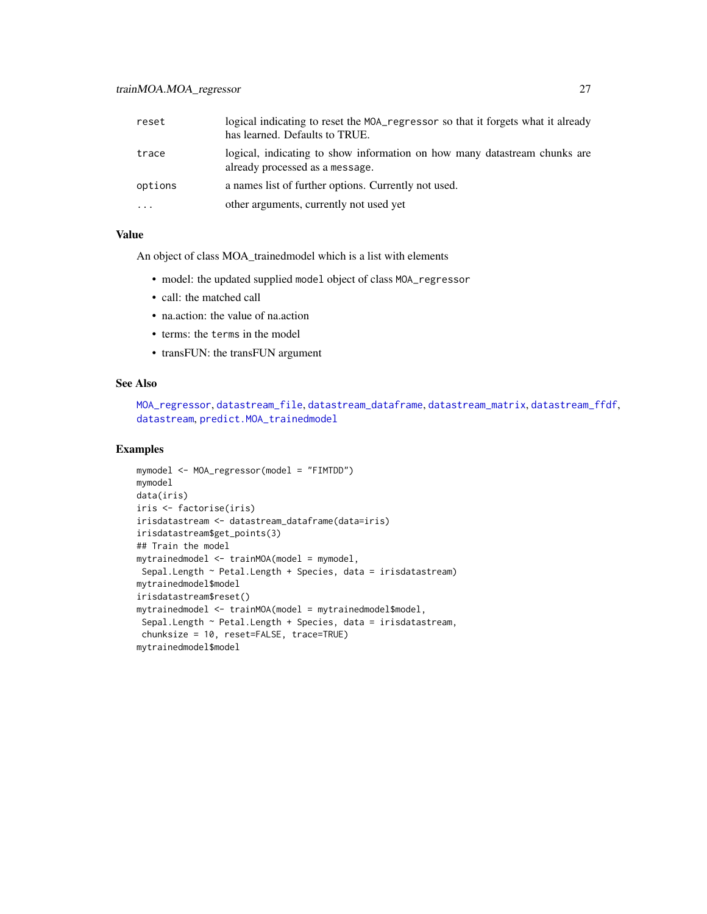# <span id="page-26-0"></span>trainMOA.MOA\_regressor 27

| reset   | logical indicating to reset the MOA_regressor so that it forgets what it already<br>has learned. Defaults to TRUE. |
|---------|--------------------------------------------------------------------------------------------------------------------|
| trace   | logical, indicating to show information on how many datastream chunks are<br>already processed as a message.       |
| options | a names list of further options. Currently not used.                                                               |
| .       | other arguments, currently not used yet                                                                            |

# Value

An object of class MOA\_trainedmodel which is a list with elements

- model: the updated supplied model object of class MOA\_regressor
- call: the matched call
- na.action: the value of na.action
- terms: the terms in the model
- transFUN: the transFUN argument

#### See Also

```
MOA_regressor, datastream_file, datastream_dataframe, datastream_matrix, datastream_ffdf,
datastream, predict.MOA_trainedmodel
```

```
mymodel <- MOA_regressor(model = "FIMTDD")
mymodel
data(iris)
iris <- factorise(iris)
irisdatastream <- datastream_dataframe(data=iris)
irisdatastream$get_points(3)
## Train the model
mytrainedmodel <- trainMOA(model = mymodel,
Sepal.Length ~ Petal.Length + Species, data = irisdatastream)
mytrainedmodel$model
irisdatastream$reset()
mytrainedmodel <- trainMOA(model = mytrainedmodel$model,
 Sepal.Length ~ Petal.Length + Species, data = irisdatastream,
 chunksize = 10, reset=FALSE, trace=TRUE)
mytrainedmodel$model
```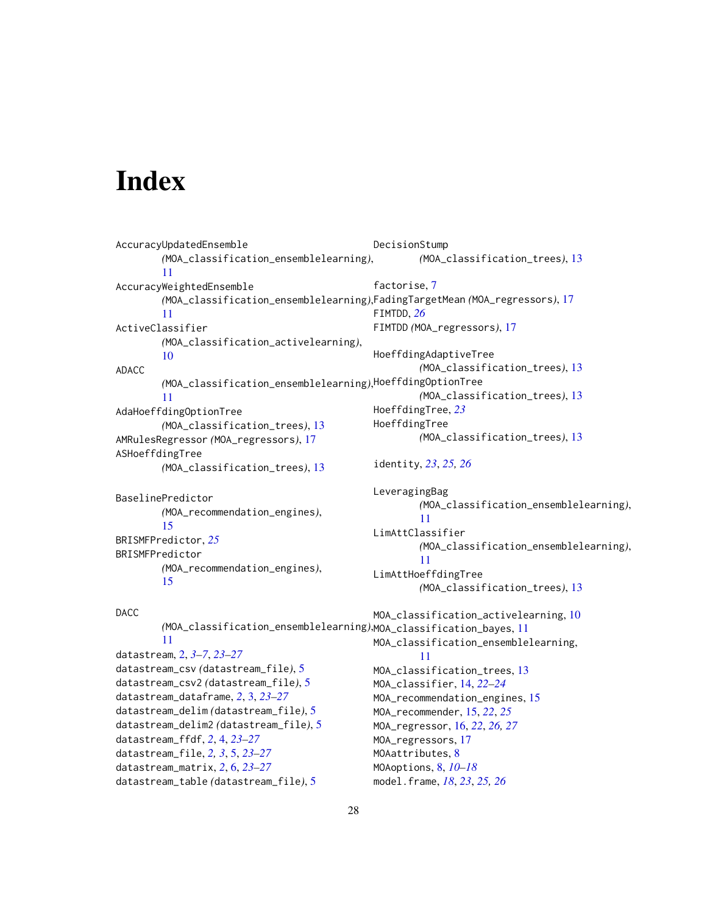# <span id="page-27-0"></span>**Index**

```
AccuracyUpdatedEnsemble
        (MOA_classification_ensemblelearning),
        11
AccuracyWeightedEnsemble
        (MOA_classification_ensemblelearning),
FadingTargetMean (MOA_regressors), 17
        11
ActiveClassifier
        (MOA_classification_activelearning),
        10
ADACC
        (MOA_classification_ensemblelearning),
HoeffdingOptionTree
        11
AdaHoeffdingOptionTree
        (MOA_classification_trees), 13
AMRulesRegressor (MOA_regressors), 17
ASHoeffdingTree
        (MOA_classification_trees), 13
BaselinePredictor
        (MOA_recommendation_engines),
        15
BRISMFPredictor, 25
BRISMFPredictor
        (MOA_recommendation_engines),
        15
DACC
        (MOA_classification_ensemblelearning),
MOA_classification_bayes, 11
        11
datastream, 2, 3–7, 23–27
datastream_csv (datastream_file), 5
datastream_csv2 (datastream_file), 5
datastream_dataframe, 2, 3, 23–27
datastream_delim (datastream_file), 5
datastream_delim2 (datastream_file), 5
datastream_ffdf, 2, 4, 23–27
datastream_file, 2, 3, 5, 23–27
datastream_matrix, 2, 6, 23–27
datastream_table (datastream_file), 5
                                                DecisionStump
                                                        (MOA_classification_trees), 13
                                                factorise, 7
                                                FIMTDD, 26
                                                FIMTDD (MOA_regressors), 17
                                                HoeffdingAdaptiveTree
                                                        (MOA_classification_trees), 13
                                                        (MOA_classification_trees), 13
                                                HoeffdingTree, 23
                                                HoeffdingTree
                                                        (MOA_classification_trees), 13
                                                identity, 23, 25, 26
                                                LeveragingBag
                                                        (MOA_classification_ensemblelearning),
                                                        11
                                                LimAttClassifier
                                                        (MOA_classification_ensemblelearning),
                                                        11
                                                LimAttHoeffdingTree
                                                        (MOA_classification_trees), 13
                                                MOA_classification_activelearning, 10
                                                MOA_classification_ensemblelearning,
                                                        11
                                                MOA_classification_trees, 13
                                                MOA_classifier, 14, 22–24
                                                MOA_recommendation_engines, 15
                                                MOA_recommender, 15, 22, 25
                                                MOA_regressor, 16, 22, 26, 27
                                                MOA_regressors, 17
                                                MOAattributes, 8
                                                MOAoptions, 8, 10–18
                                                model.frame, 18, 23, 25, 26
```